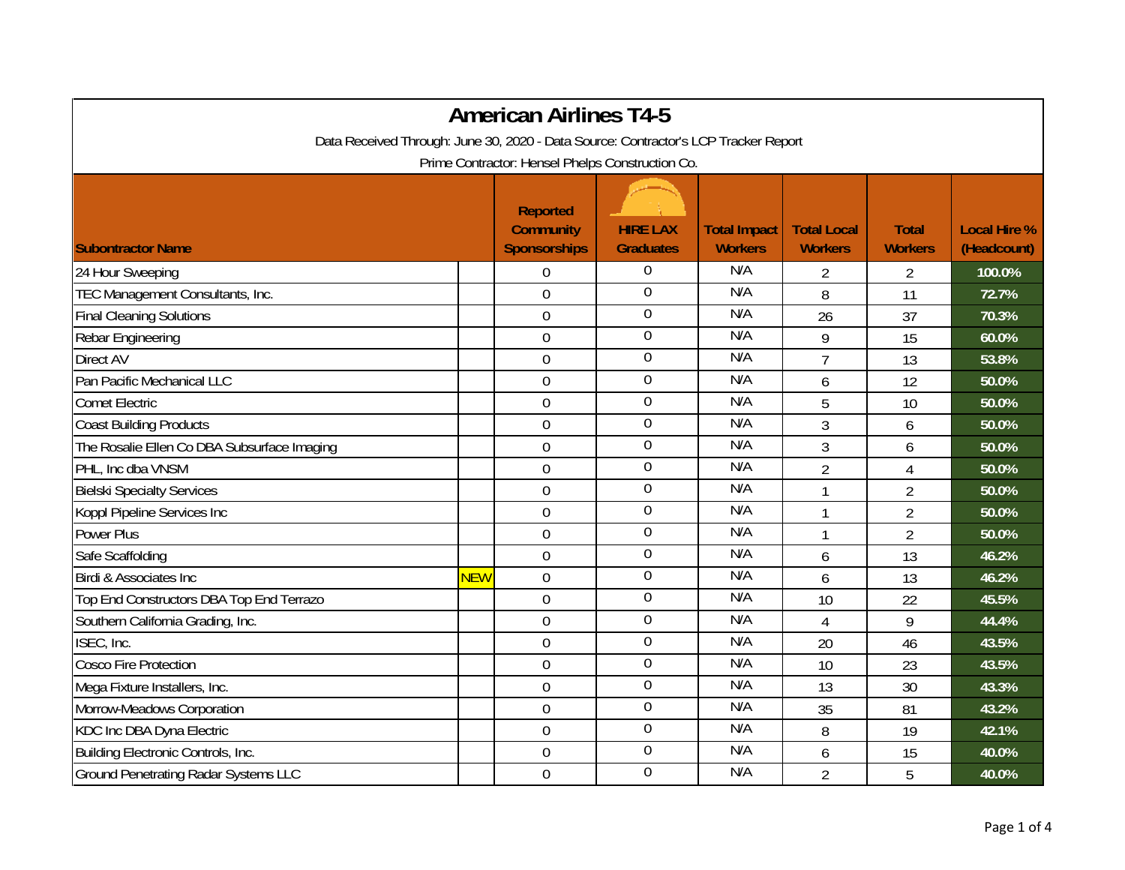|                                                                                     |            | <b>American Airlines T4-5</b>                              |                                     |                                       |                                      |                                |                                    |  |
|-------------------------------------------------------------------------------------|------------|------------------------------------------------------------|-------------------------------------|---------------------------------------|--------------------------------------|--------------------------------|------------------------------------|--|
| Data Received Through: June 30, 2020 - Data Source: Contractor's LCP Tracker Report |            |                                                            |                                     |                                       |                                      |                                |                                    |  |
| Prime Contractor: Hensel Phelps Construction Co.                                    |            |                                                            |                                     |                                       |                                      |                                |                                    |  |
| <b>Subontractor Name</b>                                                            |            | <b>Reported</b><br><b>Community</b><br><b>Sponsorships</b> | <b>HIRE LAX</b><br><b>Graduates</b> | <b>Total Impact</b><br><b>Workers</b> | <b>Total Local</b><br><b>Workers</b> | <b>Total</b><br><b>Workers</b> | <b>Local Hire %</b><br>(Headcount) |  |
| 24 Hour Sweeping                                                                    |            | $\boldsymbol{0}$                                           | $\overline{0}$                      | N/A                                   | $\overline{2}$                       | $\overline{2}$                 | 100.0%                             |  |
| TEC Management Consultants, Inc.                                                    |            | $\mathbf 0$                                                | $\boldsymbol{0}$                    | N/A                                   | 8                                    | 11                             | 72.7%                              |  |
| <b>Final Cleaning Solutions</b>                                                     |            | $\overline{0}$                                             | $\boldsymbol{0}$                    | N/A                                   | 26                                   | 37                             | 70.3%                              |  |
| Rebar Engineering                                                                   |            | $\overline{0}$                                             | $\boldsymbol{0}$                    | N/A                                   | 9                                    | 15                             | 60.0%                              |  |
| Direct AV                                                                           |            | $\boldsymbol{0}$                                           | $\boldsymbol{0}$                    | N/A                                   | $\overline{7}$                       | 13                             | 53.8%                              |  |
| Pan Pacific Mechanical LLC                                                          |            | $\overline{0}$                                             | $\boldsymbol{0}$                    | N/A                                   | 6                                    | 12                             | 50.0%                              |  |
| <b>Comet Electric</b>                                                               |            | $\mathbf 0$                                                | $\boldsymbol{0}$                    | N/A                                   | 5                                    | 10                             | 50.0%                              |  |
| <b>Coast Building Products</b>                                                      |            | $\boldsymbol{0}$                                           | $\boldsymbol{0}$                    | N/A                                   | 3                                    | 6                              | 50.0%                              |  |
| The Rosalie Ellen Co DBA Subsurface Imaging                                         |            | $\mathbf 0$                                                | $\overline{0}$                      | N/A                                   | 3                                    | 6                              | 50.0%                              |  |
| PHL, Inc dba VNSM                                                                   |            | $\boldsymbol{0}$                                           | $\boldsymbol{0}$                    | N/A                                   | $\overline{2}$                       | $\overline{4}$                 | 50.0%                              |  |
| <b>Bielski Specialty Services</b>                                                   |            | $\mathbf 0$                                                | $\boldsymbol{0}$                    | N/A                                   | $\mathbf{1}$                         | $\overline{2}$                 | 50.0%                              |  |
| Koppl Pipeline Services Inc                                                         |            | $\mathbf 0$                                                | $\boldsymbol{0}$                    | N/A                                   | $\mathbf{1}$                         | $\overline{2}$                 | 50.0%                              |  |
| Power Plus                                                                          |            | $\mathbf 0$                                                | $\boldsymbol{0}$                    | N/A                                   | $\mathbf{1}$                         | $\overline{2}$                 | 50.0%                              |  |
| Safe Scaffolding                                                                    |            | $\mathbf 0$                                                | $\boldsymbol{0}$                    | N/A                                   | 6                                    | 13                             | 46.2%                              |  |
| Birdi & Associates Inc                                                              | <b>NEW</b> | $\overline{0}$                                             | $\boldsymbol{0}$                    | N/A                                   | 6                                    | 13                             | 46.2%                              |  |
| Top End Constructors DBA Top End Terrazo                                            |            | $\boldsymbol{0}$                                           | $\boldsymbol{0}$                    | N/A                                   | 10                                   | 22                             | 45.5%                              |  |
| Southern California Grading, Inc.                                                   |            | $\mathbf 0$                                                | $\boldsymbol{0}$                    | N/A                                   | $\overline{4}$                       | 9                              | 44.4%                              |  |
| ISEC, Inc.                                                                          |            | $\overline{0}$                                             | $\boldsymbol{0}$                    | N/A                                   | 20                                   | 46                             | 43.5%                              |  |
| <b>Cosco Fire Protection</b>                                                        |            | $\overline{0}$                                             | $\overline{0}$                      | N/A                                   | 10                                   | 23                             | 43.5%                              |  |
| Mega Fixture Installers, Inc.                                                       |            | $\mathbf 0$                                                | $\boldsymbol{0}$                    | N/A                                   | 13                                   | 30                             | 43.3%                              |  |
| Morrow-Meadows Corporation                                                          |            | $\mathbf 0$                                                | $\boldsymbol{0}$                    | N/A                                   | 35                                   | 81                             | 43.2%                              |  |
| KDC Inc DBA Dyna Electric                                                           |            | $\mathbf 0$                                                | $\boldsymbol{0}$                    | N/A                                   | 8                                    | 19                             | 42.1%                              |  |
| Building Electronic Controls, Inc.                                                  |            | $\overline{0}$                                             | $\boldsymbol{0}$                    | N/A                                   | 6                                    | 15                             | 40.0%                              |  |
| <b>Ground Penetrating Radar Systems LLC</b>                                         |            | $\boldsymbol{0}$                                           | $\boldsymbol{0}$                    | N/A                                   | $\overline{2}$                       | 5                              | 40.0%                              |  |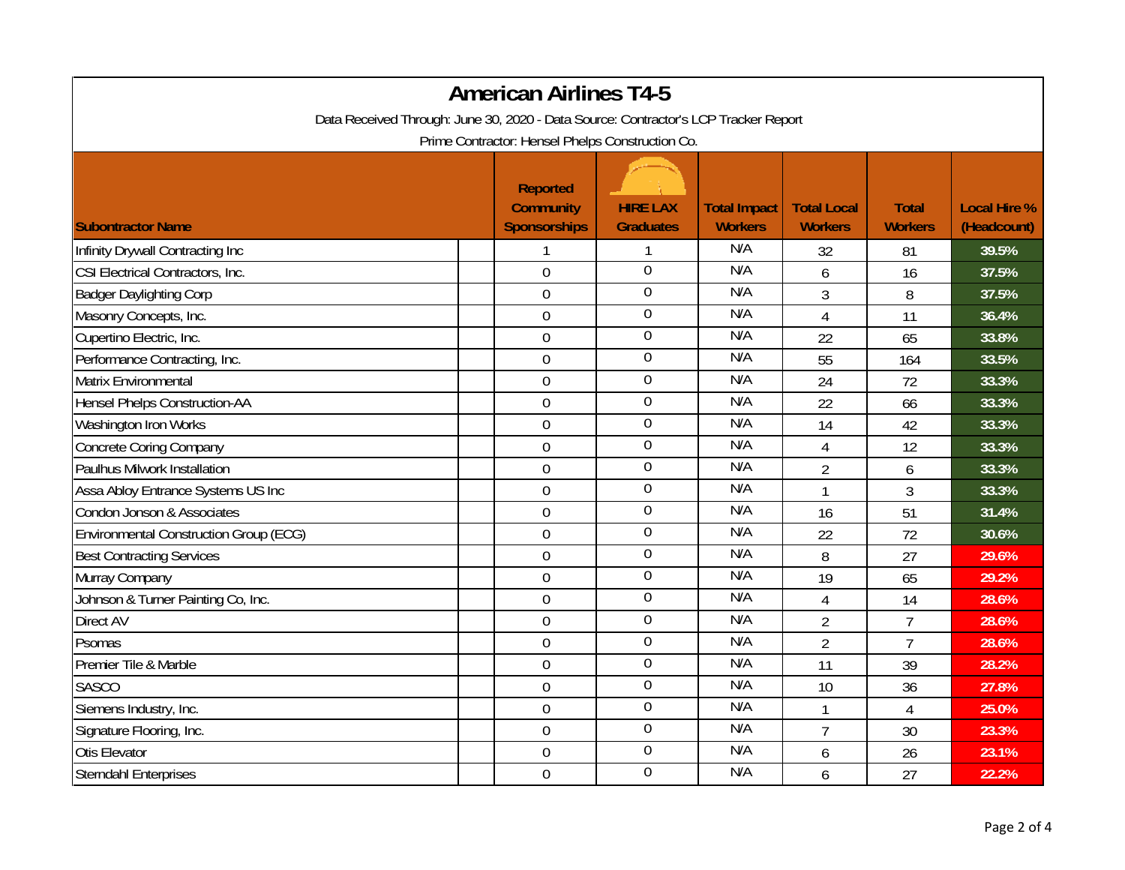| <b>American Airlines T4-5</b>                                                       |                                                            |                                     |                                       |                                      |                                |                                    |  |  |
|-------------------------------------------------------------------------------------|------------------------------------------------------------|-------------------------------------|---------------------------------------|--------------------------------------|--------------------------------|------------------------------------|--|--|
| Data Received Through: June 30, 2020 - Data Source: Contractor's LCP Tracker Report |                                                            |                                     |                                       |                                      |                                |                                    |  |  |
| Prime Contractor: Hensel Phelps Construction Co.                                    |                                                            |                                     |                                       |                                      |                                |                                    |  |  |
| <b>Subontractor Name</b>                                                            | <b>Reported</b><br><b>Community</b><br><b>Sponsorships</b> | <b>HIRE LAX</b><br><b>Graduates</b> | <b>Total Impact</b><br><b>Workers</b> | <b>Total Local</b><br><b>Workers</b> | <b>Total</b><br><b>Workers</b> | <b>Local Hire %</b><br>(Headcount) |  |  |
| Infinity Drywall Contracting Inc                                                    | 1                                                          | 1                                   | N/A                                   | 32                                   | 81                             | 39.5%                              |  |  |
| CSI Electrical Contractors, Inc.                                                    | $\mathbf 0$                                                | $\overline{0}$                      | N/A                                   | 6                                    | 16                             | 37.5%                              |  |  |
| <b>Badger Daylighting Corp</b>                                                      | $\boldsymbol{0}$                                           | $\boldsymbol{0}$                    | N/A                                   | 3                                    | 8                              | 37.5%                              |  |  |
| Masonry Concepts, Inc.                                                              | $\boldsymbol{0}$                                           | $\boldsymbol{0}$                    | N/A                                   | $\overline{4}$                       | 11                             | 36.4%                              |  |  |
| Cupertino Electric, Inc.                                                            | $\mathbf 0$                                                | $\boldsymbol{0}$                    | N/A                                   | 22                                   | 65                             | 33.8%                              |  |  |
| Performance Contracting, Inc.                                                       | $\boldsymbol{0}$                                           | $\boldsymbol{0}$                    | N/A                                   | 55                                   | 164                            | 33.5%                              |  |  |
| Matrix Environmental                                                                | $\boldsymbol{0}$                                           | $\boldsymbol{0}$                    | N/A                                   | 24                                   | 72                             | 33.3%                              |  |  |
| <b>Hensel Phelps Construction-AA</b>                                                | $\boldsymbol{0}$                                           | $\boldsymbol{0}$                    | N/A                                   | 22                                   | 66                             | 33.3%                              |  |  |
| Washington Iron Works                                                               | $\overline{0}$                                             | $\overline{0}$                      | N/A                                   | 14                                   | 42                             | 33.3%                              |  |  |
| <b>Concrete Coring Company</b>                                                      | $\mathbf 0$                                                | $\boldsymbol{0}$                    | N/A                                   | 4                                    | 12                             | 33.3%                              |  |  |
| Paulhus Milwork Installation                                                        | $\boldsymbol{0}$                                           | $\boldsymbol{0}$                    | N/A                                   | $\overline{2}$                       | 6                              | 33.3%                              |  |  |
| Assa Abloy Entrance Systems US Inc                                                  | $\mathbf 0$                                                | $\boldsymbol{0}$                    | N/A                                   | $\mathbf{1}$                         | 3                              | 33.3%                              |  |  |
| Condon Jonson & Associates                                                          | $\mathbf 0$                                                | $\mathbf 0$                         | N/A                                   | 16                                   | 51                             | 31.4%                              |  |  |
| <b>Environmental Construction Group (ECG)</b>                                       | $\mathbf 0$                                                | $\boldsymbol{0}$                    | N/A                                   | 22                                   | 72                             | 30.6%                              |  |  |
| <b>Best Contracting Services</b>                                                    | $\boldsymbol{0}$                                           | $\boldsymbol{0}$                    | N/A                                   | 8                                    | 27                             | 29.6%                              |  |  |
| Murray Company                                                                      | $\overline{0}$                                             | $\boldsymbol{0}$                    | N/A                                   | 19                                   | 65                             | 29.2%                              |  |  |
| Johnson & Turner Painting Co, Inc.                                                  | $\mathbf 0$                                                | $\mathbf 0$                         | N/A                                   | $\overline{4}$                       | 14                             | 28.6%                              |  |  |
| Direct AV                                                                           | $\mathbf 0$                                                | $\mathbf 0$                         | N/A                                   | $\overline{2}$                       | $\overline{1}$                 | 28.6%                              |  |  |
| Psomas                                                                              | $\boldsymbol{0}$                                           | $\boldsymbol{0}$                    | N/A                                   | $\overline{2}$                       | $\overline{7}$                 | 28.6%                              |  |  |
| Premier Tile & Marble                                                               | $\boldsymbol{0}$                                           | $\boldsymbol{0}$                    | N/A                                   | 11                                   | 39                             | 28.2%                              |  |  |
| <b>SASCO</b>                                                                        | $\boldsymbol{0}$                                           | $\mathbf 0$                         | N/A                                   | 10                                   | 36                             | 27.8%                              |  |  |
| Siemens Industry, Inc.                                                              | $\boldsymbol{0}$                                           | $\overline{0}$                      | N/A                                   |                                      | 4                              | 25.0%                              |  |  |
| Signature Flooring, Inc.                                                            | $\mathbf 0$                                                | $\boldsymbol{0}$                    | N/A                                   | $\overline{1}$                       | 30                             | 23.3%                              |  |  |
| Otis Elevator                                                                       | $\mathbf 0$                                                | $\overline{0}$                      | N/A                                   | 6                                    | 26                             | 23.1%                              |  |  |
| <b>Sterndahl Enterprises</b>                                                        | $\mathbf 0$                                                | $\boldsymbol{0}$                    | N/A                                   | 6                                    | 27                             | 22.2%                              |  |  |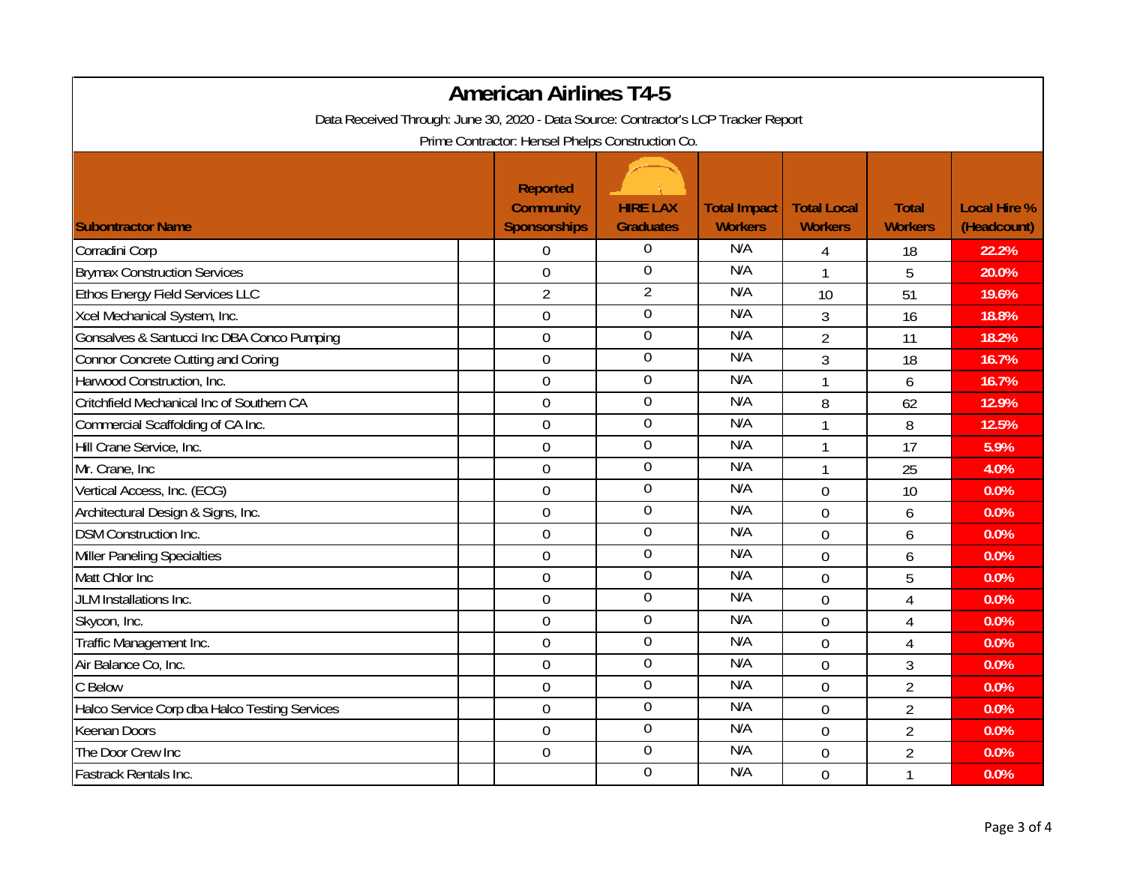| <b>American Airlines T4-5</b><br>Data Received Through: June 30, 2020 - Data Source: Contractor's LCP Tracker Report<br>Prime Contractor: Hensel Phelps Construction Co. |                     |                  |                |                |                |             |  |
|--------------------------------------------------------------------------------------------------------------------------------------------------------------------------|---------------------|------------------|----------------|----------------|----------------|-------------|--|
|                                                                                                                                                                          |                     |                  |                |                |                |             |  |
| <b>Subontractor Name</b>                                                                                                                                                 | <b>Sponsorships</b> | <b>Graduates</b> | <b>Workers</b> | <b>Workers</b> | <b>Workers</b> | (Headcount) |  |
| Corradini Corp                                                                                                                                                           | $\overline{0}$      | $\boldsymbol{0}$ | N/A            | 4              | 18             | 22.2%       |  |
| <b>Brymax Construction Services</b>                                                                                                                                      | $\mathbf 0$         | $\overline{0}$   | N/A            | $\mathbf{1}$   | 5              | 20.0%       |  |
| Ethos Energy Field Services LLC                                                                                                                                          | $\overline{2}$      | $\overline{2}$   | N/A            | 10             | 51             | 19.6%       |  |
| Xcel Mechanical System, Inc.                                                                                                                                             | $\overline{0}$      | $\boldsymbol{0}$ | N/A            | 3              | 16             | 18.8%       |  |
| Gonsalves & Santucci Inc DBA Conco Pumping                                                                                                                               | $\mathbf 0$         | $\boldsymbol{0}$ | N/A            | $\overline{2}$ | 11             | 18.2%       |  |
| Connor Concrete Cutting and Coring                                                                                                                                       | $\overline{0}$      | $\boldsymbol{0}$ | N/A            | 3              | 18             | 16.7%       |  |
| Harwood Construction, Inc.                                                                                                                                               | $\boldsymbol{0}$    | $\boldsymbol{0}$ | N/A            | $\mathbf{1}$   | 6              | 16.7%       |  |
| Critchfield Mechanical Inc of Southern CA                                                                                                                                | $\mathbf 0$         | $\boldsymbol{0}$ | N/A            | 8              | 62             | 12.9%       |  |
| Commercial Scaffolding of CA Inc.                                                                                                                                        | $\overline{0}$      | $\overline{0}$   | N/A            | 1              | 8              | 12.5%       |  |
| Hill Crane Service, Inc.                                                                                                                                                 | $\mathbf 0$         | $\overline{0}$   | N/A            | $\mathbf{1}$   | 17             | 5.9%        |  |
| Mr. Crane, Inc                                                                                                                                                           | $\overline{0}$      | $\boldsymbol{0}$ | N/A            | $\mathbf{1}$   | 25             | 4.0%        |  |
| Vertical Access, Inc. (ECG)                                                                                                                                              | $\overline{0}$      | $\boldsymbol{0}$ | N/A            | $\overline{0}$ | 10             | 0.0%        |  |
| Architectural Design & Signs, Inc.                                                                                                                                       | $\mathbf 0$         | $\boldsymbol{0}$ | N/A            | $\overline{0}$ | 6              | 0.0%        |  |
| <b>DSM Construction Inc.</b>                                                                                                                                             | $\mathbf 0$         | $\boldsymbol{0}$ | N/A            | $\overline{0}$ | 6              | 0.0%        |  |
| <b>Miller Paneling Specialties</b>                                                                                                                                       | 0                   | $\boldsymbol{0}$ | N/A            | $\overline{0}$ | 6              | 0.0%        |  |
| Matt Chlor Inc                                                                                                                                                           | $\overline{0}$      | $\boldsymbol{0}$ | N/A            | $\overline{0}$ | 5              | 0.0%        |  |
| JLM Installations Inc.                                                                                                                                                   | $\mathbf 0$         | $\boldsymbol{0}$ | N/A            | $\overline{0}$ | $\overline{4}$ | 0.0%        |  |
| Skycon, Inc.                                                                                                                                                             | $\mathbf 0$         | $\overline{0}$   | N/A            | $\overline{0}$ | $\overline{4}$ | 0.0%        |  |
| Traffic Management Inc.                                                                                                                                                  | $\overline{0}$      | $\mathbf 0$      | N/A            | $\overline{0}$ | $\overline{4}$ | 0.0%        |  |
| Air Balance Co, Inc.                                                                                                                                                     | 0                   | $\overline{0}$   | N/A            | $\overline{0}$ | 3              | 0.0%        |  |
| C Below                                                                                                                                                                  | $\boldsymbol{0}$    | $\mathbf 0$      | N/A            | $\overline{0}$ | $\overline{2}$ | 0.0%        |  |
| Halco Service Corp dba Halco Testing Services                                                                                                                            | $\mathbf 0$         | $\overline{0}$   | N/A            | $\overline{0}$ | $\overline{2}$ | 0.0%        |  |
| <b>Keenan Doors</b>                                                                                                                                                      | $\mathbf 0$         | $\boldsymbol{0}$ | N/A            | $\overline{0}$ | $\overline{2}$ | 0.0%        |  |
| The Door Crew Inc                                                                                                                                                        | $\overline{0}$      | $\overline{0}$   | N/A            | $\overline{0}$ | $\overline{2}$ | 0.0%        |  |
| Fastrack Rentals Inc.                                                                                                                                                    |                     | $\overline{0}$   | N/A            | $\overline{0}$ | $\mathbf{1}$   | 0.0%        |  |